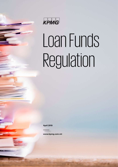

# Loan Funds Regulation

**April 2019**

**www.kpmg.com.mt**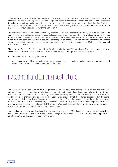Triggered by a number of enquiries relating to the regulation of loan funds in Malta, on 21 May 2015 the Malta Financial Services Authority ("MFSA") issued an updated set of Investment Services Rules (the "Rules") applicable to collective investment schemes authorized to invest through loans (also referred to as Loan Funds). Given that lending is a core banking function, the Rules draw on the MFSA Banking Rules in order to address the areas of risk in a manner that ensures consistency with the Banking Act.

The Rules essentially answer the question many have been asking themselves: Can a fund give loans? Maltese funds in possession of a collective investment scheme license structured in terms of these new rules may now give loans to other entities, subject to criteria listed therein. This is a marked improvement from the previous situation where funds were only permitted to invest in securities or other physical assets. The Rules permitting collective investment schemes to invest through loans are currently applicable to Alternative Investor Funds ("AIF") and Professional Investor Funds ("PIF").

The majority of a Loan Fund's assets (at least 70%) are to be invested 'through loans'. The remaining 30% may be invested in liquid securities. The Loan Fund Rules defines 'investing through loans' as covering both:

- direct origination of loans by the fund; and
- acquiring portfolios of loans or a direct interest in loans that result in a direct legal relationship between the fund as lender on the one hand and the borrower on the other.

### Investment and Lending Restrictions

The Rules prohibit a Loan Fund or its manager from using leverage, short selling techniques and the re-use of collateral. There are also certain diversification requirements and in fact a Loan Fund is not allowed to invest more than 10% of its capital in a single undertaking. A Loan Fund is also prohibited from investing more than 10% of its capital in units or shares of one or several other Loan Funds provided that these funds operate within the same investment restrictions applicable (subject to an aggregate limit of 20% in units of such funds), and may not own more than 25% of units of shares of any single Loan Fund. Cash borrowing for liquidity purposes is permitted, subject to certain restrictions, and may not exceed 30% of the fund's capital. Cross sub-fund investment is permitted subject to a 25% cap across all sub-funds of the same umbrella fund.

Loan Funds may lend solely and exclusively to unlisted companies and SMEs; financial undertakings are ineligible to receive financing from a Loan Fund. Entities which are eligible to receive loans in terms of the Rules are prohibited from transferring any loans so received to a third party.

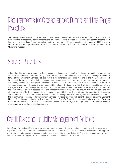# Requirements for Closed-ended Funds, and the Target Investors

The Rules provide that Loan Funds are to be constituted as closed-ended funds with a fixed duration. The Rules allow such funds to exceptionally permit redemptions on an annual basis provided that the auditors confirm that the fund has excess liquidity. Loan Funds may only attract investors that qualify as professional clients under MiFID II or who elect to be treated as professional clients and commit to invest at least €100,000, and thus meet the criteria of a Qualifying Investor.

#### Service Providers

A Loan Fund is required to appoint a fund manager (unless self-managed), a custodian, an auditor, a compliance officer and a money laundering reporting officer. The fund manager may be a de minimis fund manager licensed in terms of the Investment Services Act (the "Act"), a fund manager authorised in terms of the AIFMD and licensed in terms of the Act, a de minimis fund manager authorised/registered in another member state or a fund manager authorised/ licensed in a recognised jurisdiction. Irrespective of whether the Loan Fund is licensed as a PIF or an AIF, the manager (or in the case of a self-managed Loan Fund, the Loan Fund itself) will be responsible for portfolio management and risk management of the Loan Fund as well as other permitted services. The MFSA requires the fund manager to be in possession of the necessary skills and expertise to ensure that lending decisions are effected properly. The fund manager is also required to establish a credit risk strategy in proportion to the scope and sophistication of the Loan Fund's activities. The fund manager needs to comply with the applicable sections of the Investment Services rules for Investment Services Providers together with other Rulebooks being the Standard Licence Conditions prescribed in the Investment Services Rules for Professional Investor Funds/ Investment Services Rules for Alternative Investment Funds as the case may be. Furthermore, the manager must ensure that the scheme maintains a minimum liquid- asset proportion.

#### Credit Risk and Liquidity Management Policies

Loan Funds (or the Fund Manager) are expected to put in place policies on credit risk, credit provisioning and large exposures in proportion with the sophistication of the Loan Fund's activities. Such policies will include a risk appetite statement and address items such as structuring of credit limits and portfolio mix. A liquidity management system and procedures are required to be put in place to monitor liquidity risk of the fund.